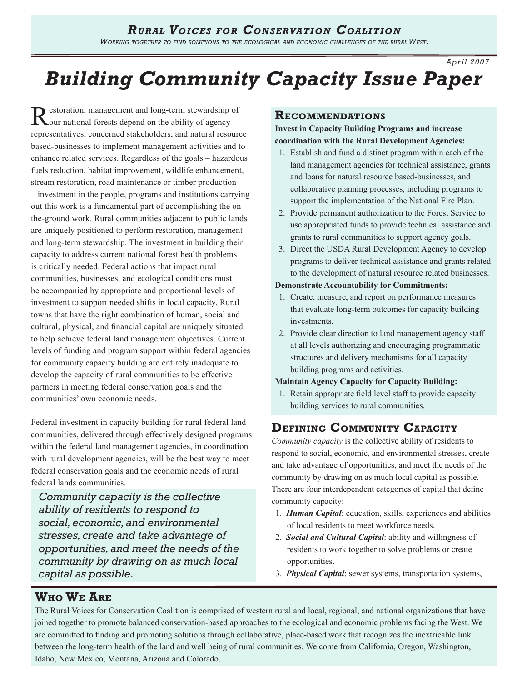# *Rural Voices for Conservation Coalition*

*Working together to find solutions to the ecological and economic challenges of the rural West.* 

*Apr il 2007*

# *Building Community Capacity Issue Paper*

Restoration, management and long-term stewardship of Guard national forests depend on the ability of agency representatives, concerned stakeholders, and natural resource based-businesses to implement management activities and to enhance related services. Regardless of the goals – hazardous fuels reduction, habitat improvement, wildlife enhancement, stream restoration, road maintenance or timber production – investment in the people, programs and institutions carrying out this work is a fundamental part of accomplishing the onthe-ground work. Rural communities adjacent to public lands are uniquely positioned to perform restoration, management and long-term stewardship. The investment in building their capacity to address current national forest health problems is critically needed. Federal actions that impact rural communities, businesses, and ecological conditions must be accompanied by appropriate and proportional levels of investment to support needed shifts in local capacity. Rural towns that have the right combination of human, social and cultural, physical, and financial capital are uniquely situated to help achieve federal land management objectives. Current levels of funding and program support within federal agencies for community capacity building are entirely inadequate to develop the capacity of rural communities to be effective partners in meeting federal conservation goals and the communities' own economic needs.

Federal investment in capacity building for rural federal land communities, delivered through effectively designed programs within the federal land management agencies, in coordination with rural development agencies, will be the best way to meet federal conservation goals and the economic needs of rural federal lands communities.

*Community capacity is the collective ability of residents to respond to social, economic, and environmental stresses, create and take advantage of opportunities, and meet the needs of the community by drawing on as much local capital as possible.*

### **Recommendations**

**Invest in Capacity Building Programs and increase coordination with the Rural Development Agencies:**

- 1. Establish and fund a distinct program within each of the land management agencies for technical assistance, grants and loans for natural resource based-businesses, and collaborative planning processes, including programs to support the implementation of the National Fire Plan.
- 2. Provide permanent authorization to the Forest Service to use appropriated funds to provide technical assistance and grants to rural communities to support agency goals.
- 3. Direct the USDA Rural Development Agency to develop programs to deliver technical assistance and grants related to the development of natural resource related businesses.

### **Demonstrate Accountability for Commitments:**

- 1. Create, measure, and report on performance measures that evaluate long-term outcomes for capacity building investments.
- 2. Provide clear direction to land management agency staff at all levels authorizing and encouraging programmatic structures and delivery mechanisms for all capacity building programs and activities.

### **Maintain Agency Capacity for Capacity Building:**

1. Retain appropriate field level staff to provide capacity building services to rural communities.

### **Defining Community Capacity**

*Community capacity* is the collective ability of residents to respond to social, economic, and environmental stresses, create and take advantage of opportunities, and meet the needs of the community by drawing on as much local capital as possible. There are four interdependent categories of capital that define community capacity:

- 1. *Human Capital*: education, skills, experiences and abilities of local residents to meet workforce needs.
- 2. *Social and Cultural Capital*: ability and willingness of residents to work together to solve problems or create opportunities.
- 3. *Physical Capital*: sewer systems, transportation systems,

## **Who We Are**

The Rural Voices for Conservation Coalition is comprised of western rural and local, regional, and national organizations that have joined together to promote balanced conservation-based approaches to the ecological and economic problems facing the West. We are committed to finding and promoting solutions through collaborative, place-based work that recognizes the inextricable link between the long-term health of the land and well being of rural communities. We come from California, Oregon, Washington, Idaho, New Mexico, Montana, Arizona and Colorado.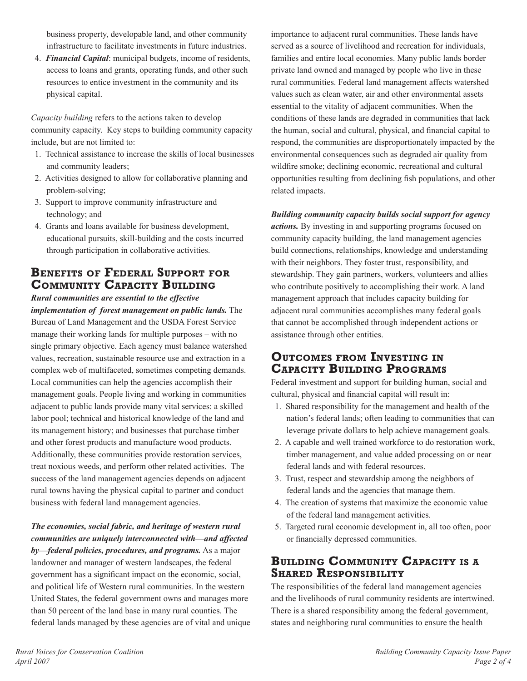business property, developable land, and other community infrastructure to facilitate investments in future industries.

4. *Financial Capital*: municipal budgets, income of residents, access to loans and grants, operating funds, and other such resources to entice investment in the community and its physical capital.

*Capacity building* refers to the actions taken to develop community capacity. Key steps to building community capacity include, but are not limited to:

- 1. Technical assistance to increase the skills of local businesses and community leaders;
- 2. Activities designed to allow for collaborative planning and problem-solving;
- 3. Support to improve community infrastructure and technology; and
- 4. Grants and loans available for business development, educational pursuits, skill-building and the costs incurred through participation in collaborative activities.

# **Benefits of Federal Support for Community Capacity Building**

*Rural communities are essential to the effective implementation of forest management on public lands.* The Bureau of Land Management and the USDA Forest Service manage their working lands for multiple purposes – with no single primary objective. Each agency must balance watershed values, recreation, sustainable resource use and extraction in a complex web of multifaceted, sometimes competing demands. Local communities can help the agencies accomplish their management goals. People living and working in communities adjacent to public lands provide many vital services: a skilled labor pool; technical and historical knowledge of the land and its management history; and businesses that purchase timber and other forest products and manufacture wood products. Additionally, these communities provide restoration services, treat noxious weeds, and perform other related activities. The success of the land management agencies depends on adjacent rural towns having the physical capital to partner and conduct business with federal land management agencies.

*The economies, social fabric, and heritage of western rural communities are uniquely interconnected with—and affected by—federal policies, procedures, and programs.* As a major landowner and manager of western landscapes, the federal government has a significant impact on the economic, social, and political life of Western rural communities. In the western United States, the federal government owns and manages more than 50 percent of the land base in many rural counties. The federal lands managed by these agencies are of vital and unique importance to adjacent rural communities. These lands have served as a source of livelihood and recreation for individuals, families and entire local economies. Many public lands border private land owned and managed by people who live in these rural communities. Federal land management affects watershed values such as clean water, air and other environmental assets essential to the vitality of adjacent communities. When the conditions of these lands are degraded in communities that lack the human, social and cultural, physical, and financial capital to respond, the communities are disproportionately impacted by the environmental consequences such as degraded air quality from wildfire smoke; declining economic, recreational and cultural opportunities resulting from declining fish populations, and other related impacts.

*Building community capacity builds social support for agency actions.* By investing in and supporting programs focused on community capacity building, the land management agencies build connections, relationships, knowledge and understanding with their neighbors. They foster trust, responsibility, and stewardship. They gain partners, workers, volunteers and allies who contribute positively to accomplishing their work. A land management approach that includes capacity building for adjacent rural communities accomplishes many federal goals that cannot be accomplished through independent actions or assistance through other entities.

# **Outcomes from Investing in Capacity Building Programs**

Federal investment and support for building human, social and cultural, physical and financial capital will result in:

- 1. Shared responsibility for the management and health of the nation's federal lands; often leading to communities that can leverage private dollars to help achieve management goals.
- 2. A capable and well trained workforce to do restoration work, timber management, and value added processing on or near federal lands and with federal resources.
- 3. Trust, respect and stewardship among the neighbors of federal lands and the agencies that manage them.
- 4. The creation of systems that maximize the economic value of the federal land management activities.
- 5. Targeted rural economic development in, all too often, poor or financially depressed communities.

# **Building Community Capacity is <sup>a</sup> Shared Responsibility**

The responsibilities of the federal land management agencies and the livelihoods of rural community residents are intertwined. There is a shared responsibility among the federal government, states and neighboring rural communities to ensure the health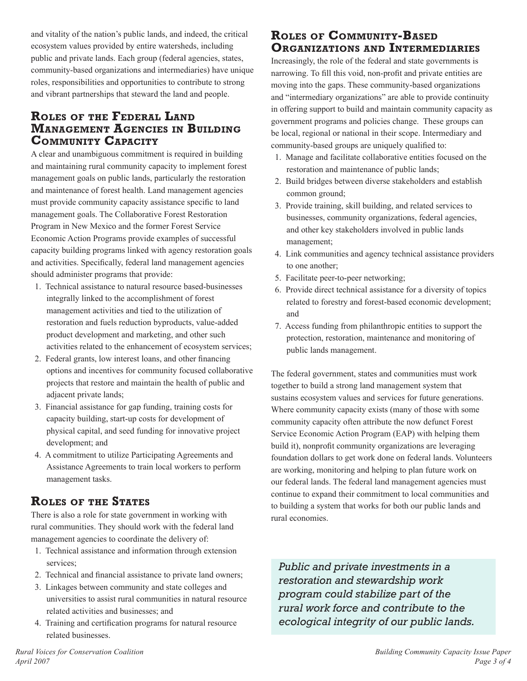and vitality of the nation's public lands, and indeed, the critical ecosystem values provided by entire watersheds, including public and private lands. Each group (federal agencies, states, community-based organizations and intermediaries) have unique roles, responsibilities and opportunities to contribute to strong and vibrant partnerships that steward the land and people.

## **Roles of the Federal Land Management Agencies in Building Community Capacity**

A clear and unambiguous commitment is required in building and maintaining rural community capacity to implement forest management goals on public lands, particularly the restoration and maintenance of forest health. Land management agencies must provide community capacity assistance specific to land management goals. The Collaborative Forest Restoration Program in New Mexico and the former Forest Service Economic Action Programs provide examples of successful capacity building programs linked with agency restoration goals and activities. Specifically, federal land management agencies should administer programs that provide:

- 1. Technical assistance to natural resource based-businesses integrally linked to the accomplishment of forest management activities and tied to the utilization of restoration and fuels reduction byproducts, value-added product development and marketing, and other such activities related to the enhancement of ecosystem services;
- 2. Federal grants, low interest loans, and other financing options and incentives for community focused collaborative projects that restore and maintain the health of public and adjacent private lands;
- 3. Financial assistance for gap funding, training costs for capacity building, start-up costs for development of physical capital, and seed funding for innovative project development; and
- 4. A commitment to utilize Participating Agreements and Assistance Agreements to train local workers to perform management tasks.

# **Roles of the States**

There is also a role for state government in working with rural communities. They should work with the federal land management agencies to coordinate the delivery of:

- 1. Technical assistance and information through extension services;
- 2. Technical and financial assistance to private land owners;
- 3. Linkages between community and state colleges and universities to assist rural communities in natural resource related activities and businesses; and
- 4. Training and certification programs for natural resource related businesses.

### **Roles of Community-Based Organizations and Intermediaries**

Increasingly, the role of the federal and state governments is narrowing. To fill this void, non-profit and private entities are moving into the gaps. These community-based organizations and "intermediary organizations" are able to provide continuity in offering support to build and maintain community capacity as government programs and policies change. These groups can be local, regional or national in their scope. Intermediary and community-based groups are uniquely qualified to:

- 1. Manage and facilitate collaborative entities focused on the restoration and maintenance of public lands;
- 2. Build bridges between diverse stakeholders and establish common ground;
- 3. Provide training, skill building, and related services to businesses, community organizations, federal agencies, and other key stakeholders involved in public lands management;
- 4. Link communities and agency technical assistance providers to one another;
- 5. Facilitate peer-to-peer networking;
- 6. Provide direct technical assistance for a diversity of topics related to forestry and forest-based economic development; and
- 7. Access funding from philanthropic entities to support the protection, restoration, maintenance and monitoring of public lands management.

The federal government, states and communities must work together to build a strong land management system that sustains ecosystem values and services for future generations. Where community capacity exists (many of those with some community capacity often attribute the now defunct Forest Service Economic Action Program (EAP) with helping them build it), nonprofit community organizations are leveraging foundation dollars to get work done on federal lands. Volunteers are working, monitoring and helping to plan future work on our federal lands. The federal land management agencies must continue to expand their commitment to local communities and to building a system that works for both our public lands and rural economies.

*Public and private investments in a restoration and stewardship work program could stabilize part of the rural work force and contribute to the ecological integrity of our public lands.*